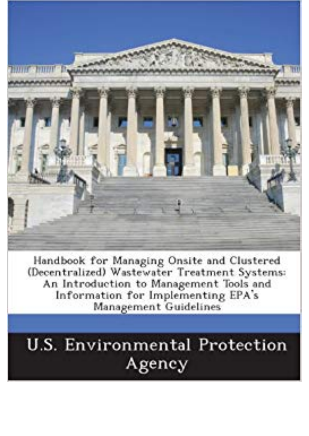

Handbook for Managing Onsite and Clustered (Decentralized) Wastewater Treatment Systems: An Introduction to Management Tools and Information for Implementing EPA's Management Guidelines

## **U.S. Environmental Protection** Agency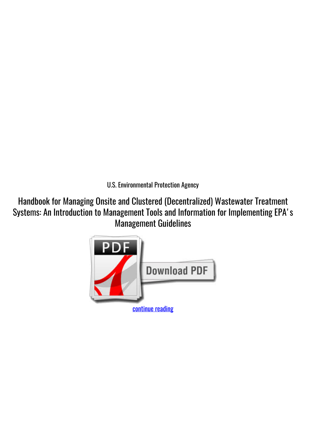*U.S. Environmental Protection Agency*

**Handbook for Managing Onsite and Clustered (Decentralized) Wastewater Treatment Systems: An Introduction to Management Tools and Information for Implementing EPA's Management Guidelines**

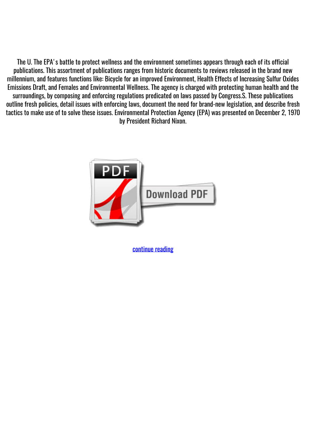The U. The EPA's battle to protect wellness and the environment sometimes appears through each of its official publications. This assortment of publications ranges from historic documents to reviews released in the brand new millennium, and features functions like: Bicycle for an improved Environment, Health Effects of Increasing Sulfur Oxides Emissions Draft, and Females and Environmental Wellness. The agency is charged with protecting human health and the surroundings, by composing and enforcing regulations predicated on laws passed by Congress.S. These publications outline fresh policies, detail issues with enforcing laws, document the need for brand-new legislation, and describe fresh tactics to make use of to solve these issues. Environmental Protection Agency (EPA) was presented on December 2, 1970 by President Richard Nixon.



[continue reading](http://bit.ly/2Tge8Fv)